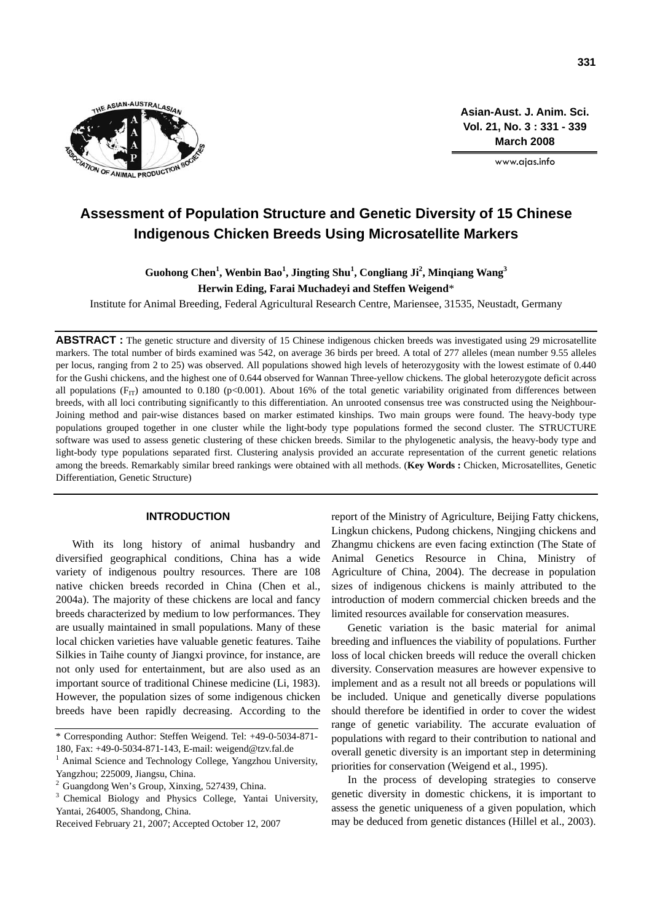

**Asian-Aust. J. Anim. Sci. Vol. 21, No. 3 : 331 - 339 March 2008**

www.ajas.info

# **Assessment of Population Structure and Genetic Diversity of 15 Chinese Indigenous Chicken Breeds Using Microsatellite Markers**

## Guohong Chen<sup>1</sup>, Wenbin Bao<sup>1</sup>, Jingting Shu<sup>1</sup>, Congliang Ji<sup>2</sup>, Minqiang Wang<sup>3</sup> **Herwin Eding, Farai Muchadeyi and Steffen Weigend**\*

Institute for Animal Breeding, Federal Agricultural Research Centre, Mariensee, 31535, Neustadt, Germany

**ABSTRACT :** The genetic structure and diversity of 15 Chinese indigenous chicken breeds was investigated using 29 microsatellite markers. The total number of birds examined was 542, on average 36 birds per breed. A total of 277 alleles (mean number 9.55 alleles per locus, ranging from 2 to 25) was observed. All populations showed high levels of heterozygosity with the lowest estimate of 0.440 for the Gushi chickens, and the highest one of 0.644 observed for Wannan Three-yellow chickens. The global heterozygote deficit across all populations ( $F_{IT}$ ) amounted to 0.180 (p<0.001). About 16% of the total genetic variability originated from differences between breeds, with all loci contributing significantly to this differentiation. An unrooted consensus tree was constructed using the Neighbour-Joining method and pair-wise distances based on marker estimated kinships. Two main groups were found. The heavy-body type populations grouped together in one cluster while the light-body type populations formed the second cluster. The STRUCTURE software was used to assess genetic clustering of these chicken breeds. Similar to the phylogenetic analysis, the heavy-body type and light-body type populations separated first. Clustering analysis provided an accurate representation of the current genetic relations among the breeds. Remarkably similar breed rankings were obtained with all methods. (**Key Words :** Chicken, Microsatellites, Genetic Differentiation, Genetic Structure)

## **INTRODUCTION**

With its long history of animal husbandry and diversified geographical conditions, China has a wide variety of indigenous poultry resources. There are 108 native chicken breeds recorded in China (Chen et al., 2004a). The majority of these chickens are local and fancy breeds characterized by medium to low performances. They are usually maintained in small populations. Many of these local chicken varieties have valuable genetic features. Taihe Silkies in Taihe county of Jiangxi province, for instance, are not only used for entertainment, but are also used as an important source of traditional Chinese medicine (Li, 1983). However, the population sizes of some indigenous chicken breeds have been rapidly decreasing. According to the

<sup>3</sup> Chemical Biology and Physics College, Yantai University, Yantai, 264005, Shandong, China.

report of the Ministry of Agriculture, Beijing Fatty chickens, Lingkun chickens, Pudong chickens, Ningjing chickens and Zhangmu chickens are even facing extinction (The State of Animal Genetics Resource in China, Ministry of Agriculture of China, 2004). The decrease in population sizes of indigenous chickens is mainly attributed to the introduction of modern commercial chicken breeds and the limited resources available for conservation measures.

Genetic variation is the basic material for animal breeding and influences the viability of populations. Further loss of local chicken breeds will reduce the overall chicken diversity. Conservation measures are however expensive to implement and as a result not all breeds or populations will be included. Unique and genetically diverse populations should therefore be identified in order to cover the widest range of genetic variability. The accurate evaluation of populations with regard to their contribution to national and overall genetic diversity is an important step in determining priorities for conservation (Weigend et al., 1995).

In the process of developing strategies to conserve genetic diversity in domestic chickens, it is important to assess the genetic uniqueness of a given population, which may be deduced from genetic distances (Hillel et al., 2003).

<sup>\*</sup> Corresponding Author: Steffen Weigend. Tel: +49-0-5034-871- 180, Fax: +49-0-5034-871-143, E-mail: weigend@tzv.fal.de

<sup>&</sup>lt;sup>1</sup> Animal Science and Technology College, Yangzhou University, Yangzhou; 225009, Jiangsu, China.

<sup>&</sup>lt;sup>2</sup> Guangdong Wen's Group, Xinxing, 527439, China.

Received February 21, 2007; Accepted October 12, 2007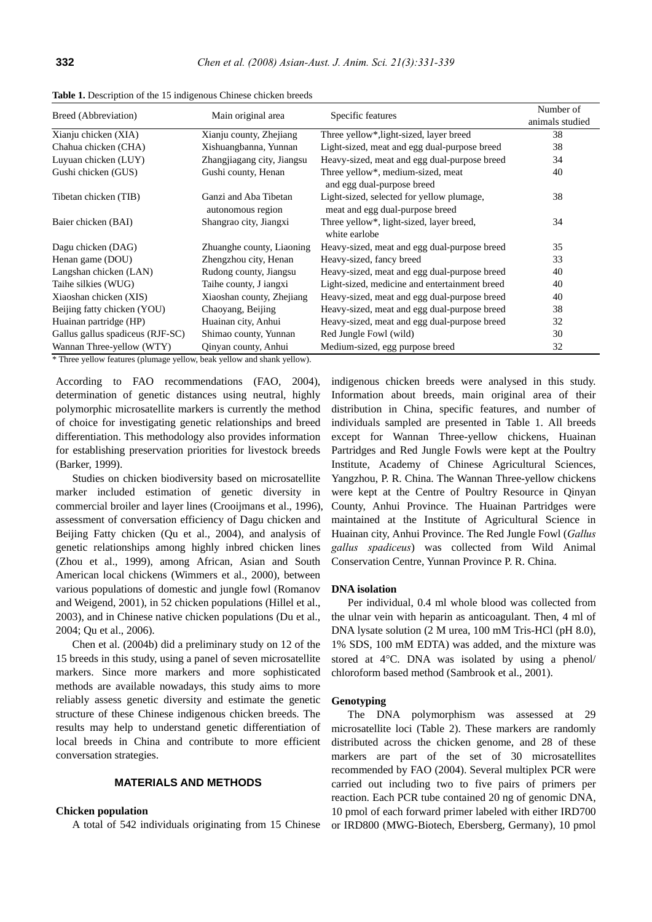| Breed (Abbreviation)                                                   | Main original area         | Specific features                             | Number of<br>animals studied |  |  |
|------------------------------------------------------------------------|----------------------------|-----------------------------------------------|------------------------------|--|--|
|                                                                        |                            |                                               |                              |  |  |
| Xianju chicken (XIA)                                                   | Xianju county, Zhejiang    | Three yellow*, light-sized, layer breed       | 38                           |  |  |
| Chahua chicken (CHA)                                                   | Xishuangbanna, Yunnan      | Light-sized, meat and egg dual-purpose breed  | 38                           |  |  |
| Luyuan chicken (LUY)                                                   | Zhangjiagang city, Jiangsu | Heavy-sized, meat and egg dual-purpose breed  | 34                           |  |  |
| Gushi chicken (GUS)                                                    | Gushi county, Henan        | Three yellow*, medium-sized, meat             | 40                           |  |  |
|                                                                        |                            | and egg dual-purpose breed                    |                              |  |  |
| Tibetan chicken (TIB)                                                  | Ganzi and Aba Tibetan      | Light-sized, selected for yellow plumage,     | 38                           |  |  |
|                                                                        | autonomous region          | meat and egg dual-purpose breed               |                              |  |  |
| Baier chicken (BAI)                                                    | Shangrao city, Jiangxi     | Three yellow*, light-sized, layer breed,      | 34                           |  |  |
|                                                                        |                            | white earlobe                                 |                              |  |  |
| Dagu chicken (DAG)                                                     | Zhuanghe county, Liaoning  | Heavy-sized, meat and egg dual-purpose breed  | 35                           |  |  |
| Henan game (DOU)                                                       | Zhengzhou city, Henan      | Heavy-sized, fancy breed                      | 33                           |  |  |
| Langshan chicken (LAN)                                                 | Rudong county, Jiangsu     | Heavy-sized, meat and egg dual-purpose breed  | 40                           |  |  |
| Taihe silkies (WUG)                                                    | Taihe county, J iangxi     | Light-sized, medicine and entertainment breed | 40                           |  |  |
| Xiaoshan chicken (XIS)                                                 | Xiaoshan county, Zhejiang  | Heavy-sized, meat and egg dual-purpose breed  | 40                           |  |  |
| Beijing fatty chicken (YOU)                                            | Chaoyang, Beijing          | Heavy-sized, meat and egg dual-purpose breed  | 38                           |  |  |
| Huainan partridge (HP)                                                 | Huainan city, Anhui        | Heavy-sized, meat and egg dual-purpose breed  | 32                           |  |  |
| Gallus gallus spadiceus (RJF-SC)                                       | Shimao county, Yunnan      | Red Jungle Fowl (wild)                        | 30                           |  |  |
| Wannan Three-yellow (WTY)                                              | Qinyan county, Anhui       | Medium-sized, egg purpose breed               | 32                           |  |  |
| * Three vellow features (plumage vellow, beak vellow and shank vellow) |                            |                                               |                              |  |  |

**Table 1.** Description of the 15 indigenous Chinese chicken breeds

\* Three yellow features (plumage yellow, beak yellow and shank yellow).

According to FAO recommendations (FAO, 2004), determination of genetic distances using neutral, highly polymorphic microsatellite markers is currently the method of choice for investigating genetic relationships and breed differentiation. This methodology also provides information for establishing preservation priorities for livestock breeds (Barker, 1999).

Studies on chicken biodiversity based on microsatellite marker included estimation of genetic diversity in commercial broiler and layer lines (Crooijmans et al., 1996), assessment of conversation efficiency of Dagu chicken and Beijing Fatty chicken (Qu et al., 2004), and analysis of genetic relationships among highly inbred chicken lines (Zhou et al., 1999), among African, Asian and South American local chickens (Wimmers et al., 2000), between various populations of domestic and jungle fowl (Romanov and Weigend, 2001), in 52 chicken populations (Hillel et al., 2003), and in Chinese native chicken populations (Du et al., 2004; Qu et al., 2006).

Chen et al. (2004b) did a preliminary study on 12 of the 15 breeds in this study, using a panel of seven microsatellite markers. Since more markers and more sophisticated methods are available nowadays, this study aims to more reliably assess genetic diversity and estimate the genetic structure of these Chinese indigenous chicken breeds. The results may help to understand genetic differentiation of local breeds in China and contribute to more efficient conversation strategies.

## **MATERIALS AND METHODS**

#### **Chicken population**

A total of 542 individuals originating from 15 Chinese

indigenous chicken breeds were analysed in this study. Information about breeds, main original area of their distribution in China, specific features, and number of individuals sampled are presented in Table 1. All breeds except for Wannan Three-yellow chickens, Huainan Partridges and Red Jungle Fowls were kept at the Poultry Institute, Academy of Chinese Agricultural Sciences, Yangzhou, P. R. China. The Wannan Three-yellow chickens were kept at the Centre of Poultry Resource in Qinyan County, Anhui Province. The Huainan Partridges were maintained at the Institute of Agricultural Science in Huainan city, Anhui Province. The Red Jungle Fowl (*Gallus gallus spadiceus*) was collected from Wild Animal Conservation Centre, Yunnan Province P. R. China.

#### **DNA isolation**

Per individual, 0.4 ml whole blood was collected from the ulnar vein with heparin as anticoagulant. Then, 4 ml of DNA lysate solution (2 M urea, 100 mM Tris-HCl (pH 8.0), 1% SDS, 100 mM EDTA) was added, and the mixture was stored at 4°C. DNA was isolated by using a phenol/ chloroform based method (Sambrook et al., 2001).

#### **Genotyping**

The DNA polymorphism was assessed at 29 microsatellite loci (Table 2). These markers are randomly distributed across the chicken genome, and 28 of these markers are part of the set of 30 microsatellites recommended by FAO (2004). Several multiplex PCR were carried out including two to five pairs of primers per reaction. Each PCR tube contained 20 ng of genomic DNA, 10 pmol of each forward primer labeled with either IRD700 or IRD800 (MWG-Biotech, Ebersberg, Germany), 10 pmol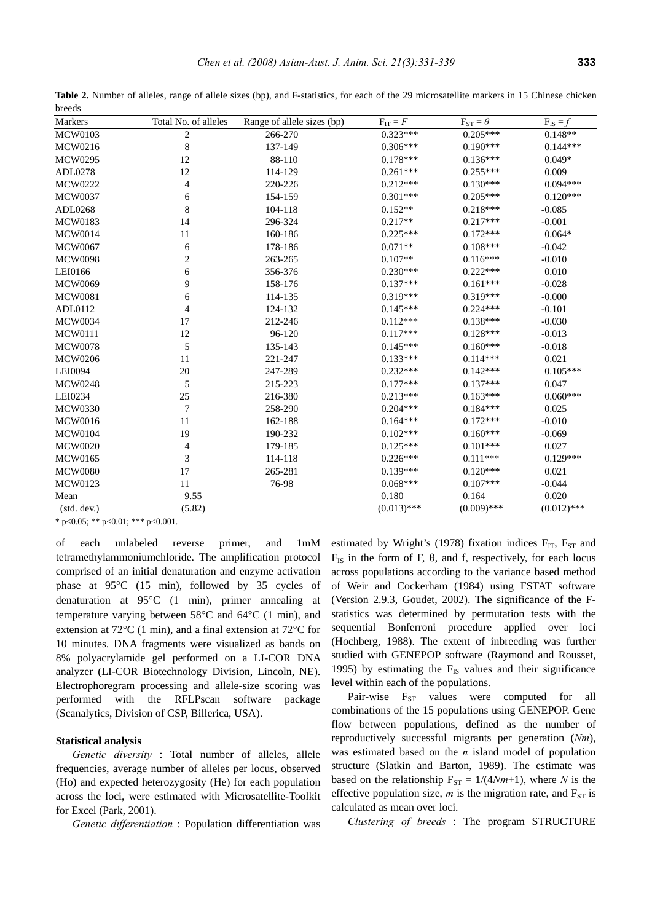| Markers                      | Total No. of alleles | Range of allele sizes (bp) | $F_{IT} = F$  | $F_{ST} = \theta$ | $F_{IS} = f$  |
|------------------------------|----------------------|----------------------------|---------------|-------------------|---------------|
| $\overline{\text{MCW}}$ 0103 | $\sqrt{2}$           | 266-270                    | $0.323***$    | $0.205***$        | $0.148**$     |
| MCW0216                      | 8                    | 137-149                    | $0.306***$    | $0.190***$        | $0.144***$    |
| <b>MCW0295</b>               | 12                   | 88-110                     | $0.178***$    | $0.136***$        | $0.049*$      |
| ADL0278                      | 12                   | 114-129                    | $0.261***$    | $0.255***$        | 0.009         |
| MCW0222                      | 4                    | 220-226                    | $0.212***$    | $0.130***$        | $0.094***$    |
| <b>MCW0037</b>               | 6                    | 154-159                    | $0.301***$    | $0.205***$        | $0.120***$    |
| ADL0268                      | 8                    | 104-118                    | $0.152**$     | $0.218***$        | $-0.085$      |
| <b>MCW0183</b>               | 14                   | 296-324                    | $0.217**$     | $0.217***$        | $-0.001$      |
| <b>MCW0014</b>               | 11                   | 160-186                    | $0.225***$    | $0.172***$        | $0.064*$      |
| <b>MCW0067</b>               | 6                    | 178-186                    | $0.071**$     | $0.108***$        | $-0.042$      |
| <b>MCW0098</b>               | $\overline{c}$       | 263-265                    | $0.107**$     | $0.116***$        | $-0.010$      |
| LEI0166                      | 6                    | 356-376                    | $0.230***$    | $0.222***$        | 0.010         |
| <b>MCW0069</b>               | 9                    | 158-176                    | $0.137***$    | $0.161***$        | $-0.028$      |
| <b>MCW0081</b>               | 6                    | 114-135                    | $0.319***$    | $0.319***$        | $-0.000$      |
| ADL0112                      | 4                    | 124-132                    | $0.145***$    | $0.224***$        | $-0.101$      |
| <b>MCW0034</b>               | 17                   | 212-246                    | $0.112***$    | $0.138***$        | $-0.030$      |
| <b>MCW0111</b>               | 12                   | 96-120                     | $0.117***$    | $0.128***$        | $-0.013$      |
| <b>MCW0078</b>               | 5                    | 135-143                    | $0.145***$    | $0.160***$        | $-0.018$      |
| <b>MCW0206</b>               | 11                   | 221-247                    | $0.133***$    | $0.114***$        | 0.021         |
| LEI0094                      | 20                   | 247-289                    | $0.232***$    | $0.142***$        | $0.105***$    |
| <b>MCW0248</b>               | 5                    | 215-223                    | $0.177***$    | $0.137***$        | 0.047         |
| LEI0234                      | 25                   | 216-380                    | $0.213***$    | $0.163***$        | $0.060***$    |
| <b>MCW0330</b>               | $\boldsymbol{7}$     | 258-290                    | $0.204***$    | $0.184***$        | 0.025         |
| <b>MCW0016</b>               | 11                   | 162-188                    | $0.164***$    | $0.172***$        | $-0.010$      |
| <b>MCW0104</b>               | 19                   | 190-232                    | $0.102***$    | $0.160***$        | $-0.069$      |
| <b>MCW0020</b>               | 4                    | 179-185                    | $0.125***$    | $0.101***$        | 0.027         |
| <b>MCW0165</b>               | 3                    | 114-118                    | $0.226***$    | $0.111***$        | $0.129***$    |
| <b>MCW0080</b>               | 17                   | 265-281                    | $0.139***$    | $0.120***$        | 0.021         |
| <b>MCW0123</b>               | 11                   | 76-98                      | $0.068***$    | $0.107***$        | $-0.044$      |
| Mean                         | 9.55                 |                            | 0.180         | 0.164             | 0.020         |
| (stat. dev.)                 | (5.82)               |                            | $(0.013)$ *** | $(0.009)$ ***     | $(0.012)$ *** |

Table 2. Number of alleles, range of allele sizes (bp), and F-statistics, for each of the 29 microsatellite markers in 15 Chinese chicken breeds

\* p<0.05; \*\* p<0.01; \*\*\* p<0.001.

of each unlabeled reverse primer, and 1mM tetramethylammoniumchloride. The amplification protocol comprised of an initial denaturation and enzyme activation phase at 95°C (15 min), followed by 35 cycles of denaturation at 95°C (1 min), primer annealing at temperature varying between 58°C and 64°C (1 min), and extension at 72°C (1 min), and a final extension at 72°C for 10 minutes. DNA fragments were visualized as bands on 8% polyacrylamide gel performed on a LI-COR DNA analyzer (LI-COR Biotechnology Division, Lincoln, NE). Electrophoregram processing and allele-size scoring was performed with the RFLPscan software package (Scanalytics, Division of CSP, Billerica, USA).

## **Statistical analysis**

*Genetic diversity* : Total number of alleles, allele frequencies, average number of alleles per locus, observed (Ho) and expected heterozygosity (He) for each population across the loci, were estimated with Microsatellite-Toolkit for Excel (Park, 2001).

*Genetic differentiation* : Population differentiation was

estimated by Wright's (1978) fixation indices  $F_{IT}$ ,  $F_{ST}$  and  $F<sub>IS</sub>$  in the form of F, θ, and f, respectively, for each locus across populations according to the variance based method of Weir and Cockerham (1984) using FSTAT software (Version 2.9.3, Goudet, 2002). The significance of the Fstatistics was determined by permutation tests with the sequential Bonferroni procedure applied over loci (Hochberg, 1988). The extent of inbreeding was further studied with GENEPOP software (Raymond and Rousset, 1995) by estimating the  $F_{IS}$  values and their significance level within each of the populations.

Pair-wise  $F_{ST}$  values were computed for all combinations of the 15 populations using GENEPOP. Gene flow between populations, defined as the number of reproductively successful migrants per generation (*Nm*), was estimated based on the *n* island model of population structure (Slatkin and Barton, 1989). The estimate was based on the relationship  $F_{ST} = 1/(4Nm+1)$ , where *N* is the effective population size,  $m$  is the migration rate, and  $F_{ST}$  is calculated as mean over loci.

*Clustering of breeds* : The program STRUCTURE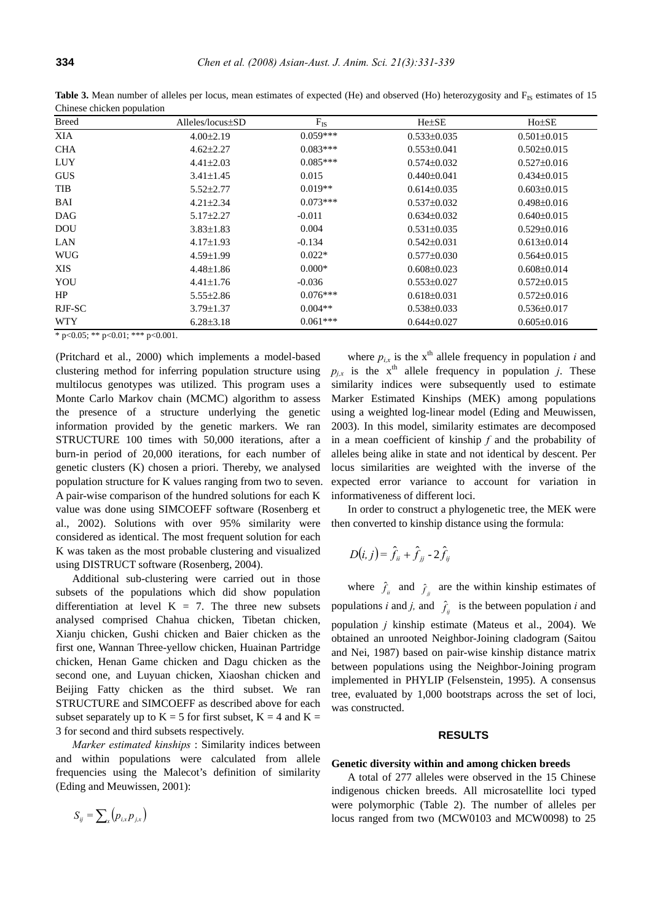| <b>Breed</b> | $Alleles/locus \pm SD$ | $F_{IS}$   | $He \pm SE$       | $Ho\pm SE$        |  |  |
|--------------|------------------------|------------|-------------------|-------------------|--|--|
| <b>XIA</b>   | $4.00 \pm 2.19$        | $0.059***$ | $0.533\pm0.035$   | $0.501 \pm 0.015$ |  |  |
| <b>CHA</b>   | $4.62 \pm 2.27$        | $0.083***$ | $0.553 \pm 0.041$ | $0.502 \pm 0.015$ |  |  |
| <b>LUY</b>   | $4.41 \pm 2.03$        | $0.085***$ | $0.574 \pm 0.032$ | $0.527 \pm 0.016$ |  |  |
| <b>GUS</b>   | $3.41 \pm 1.45$        | 0.015      | $0.440 \pm 0.041$ | $0.434\pm0.015$   |  |  |
| TIB          | $5.52 \pm 2.77$        | $0.019**$  | $0.614\pm0.035$   | $0.603 \pm 0.015$ |  |  |
| BAI          | $4.21 \pm 2.34$        | $0.073***$ | $0.537 \pm 0.032$ | $0.498 \pm 0.016$ |  |  |
| <b>DAG</b>   | $5.17 \pm 2.27$        | $-0.011$   | $0.634\pm0.032$   | $0.640\pm0.015$   |  |  |
| <b>DOU</b>   | $3.83 \pm 1.83$        | 0.004      | $0.531 \pm 0.035$ | $0.529 \pm 0.016$ |  |  |
| LAN          | $4.17 \pm 1.93$        | $-0.134$   | $0.542 \pm 0.031$ | $0.613 \pm 0.014$ |  |  |
| <b>WUG</b>   | $4.59 \pm 1.99$        | $0.022*$   | $0.577 \pm 0.030$ | $0.564 \pm 0.015$ |  |  |
| <b>XIS</b>   | $4.48 \pm 1.86$        | $0.000*$   | $0.608 \pm 0.023$ | $0.608 \pm 0.014$ |  |  |
| YOU          | $4.41 \pm 1.76$        | $-0.036$   | $0.553 \pm 0.027$ | $0.572 \pm 0.015$ |  |  |
| HP           | $5.55 \pm 2.86$        | $0.076***$ | $0.618 \pm 0.031$ | $0.572 \pm 0.016$ |  |  |
| RJF-SC       | $3.79 \pm 1.37$        | $0.004**$  | $0.538 \pm 0.033$ | $0.536 \pm 0.017$ |  |  |
| <b>WTY</b>   | $6.28 \pm 3.18$        | $0.061***$ | $0.644\pm0.027$   | $0.605 \pm 0.016$ |  |  |

**Table 3.** Mean number of alleles per locus, mean estimates of expected (He) and observed (Ho) heterozygosity and F<sub>IS</sub> estimates of 15 Chinese chicken population

\* p<0.05; \*\* p<0.01; \*\*\* p<0.001.

(Pritchard et al., 2000) which implements a model-based clustering method for inferring population structure using multilocus genotypes was utilized. This program uses a Monte Carlo Markov chain (MCMC) algorithm to assess the presence of a structure underlying the genetic information provided by the genetic markers. We ran STRUCTURE 100 times with 50,000 iterations, after a burn-in period of 20,000 iterations, for each number of genetic clusters (K) chosen a priori. Thereby, we analysed population structure for K values ranging from two to seven. A pair-wise comparison of the hundred solutions for each K value was done using SIMCOEFF software (Rosenberg et al., 2002). Solutions with over 95% similarity were considered as identical. The most frequent solution for each K was taken as the most probable clustering and visualized using DISTRUCT software (Rosenberg, 2004).

Additional sub-clustering were carried out in those subsets of the populations which did show population differentiation at level  $K = 7$ . The three new subsets analysed comprised Chahua chicken, Tibetan chicken, Xianju chicken, Gushi chicken and Baier chicken as the first one, Wannan Three-yellow chicken, Huainan Partridge chicken, Henan Game chicken and Dagu chicken as the second one, and Luyuan chicken, Xiaoshan chicken and Beijing Fatty chicken as the third subset. We ran STRUCTURE and SIMCOEFF as described above for each subset separately up to  $K = 5$  for first subset,  $K = 4$  and  $K =$ 3 for second and third subsets respectively.

*Marker estimated kinships* : Similarity indices between and within populations were calculated from allele frequencies using the Malecot's definition of similarity (Eding and Meuwissen, 2001):

$$
S_{ij}=\sum_{x}\left(p_{i,x}p_{j,x}\right)
$$

where  $p_{i,x}$  is the  $x^{\text{th}}$  allele frequency in population *i* and  $p_{ix}$  is the x<sup>th</sup> allele frequency in population *j*. These similarity indices were subsequently used to estimate Marker Estimated Kinships (MEK) among populations using a weighted log-linear model (Eding and Meuwissen, 2003). In this model, similarity estimates are decomposed in a mean coefficient of kinship *f* and the probability of alleles being alike in state and not identical by descent. Per locus similarities are weighted with the inverse of the expected error variance to account for variation in informativeness of different loci.

In order to construct a phylogenetic tree, the MEK were then converted to kinship distance using the formula:

$$
D(i, j) = \hat{f}_{ii} + \hat{f}_{jj} - 2\hat{f}_{ij}
$$

where  $\hat{f}_i$  and  $\hat{f}_j$  are the within kinship estimates of populations *i* and *j*, and  $\hat{f}_i$  is the between population *i* and population *j* kinship estimate (Mateus et al., 2004). We obtained an unrooted Neighbor-Joining cladogram (Saitou and Nei, 1987) based on pair-wise kinship distance matrix between populations using the Neighbor-Joining program implemented in PHYLIP (Felsenstein, 1995). A consensus tree, evaluated by 1,000 bootstraps across the set of loci, was constructed.

#### **RESULTS**

#### **Genetic diversity within and among chicken breeds**

A total of 277 alleles were observed in the 15 Chinese indigenous chicken breeds. All microsatellite loci typed were polymorphic (Table 2). The number of alleles per locus ranged from two (MCW0103 and MCW0098) to 25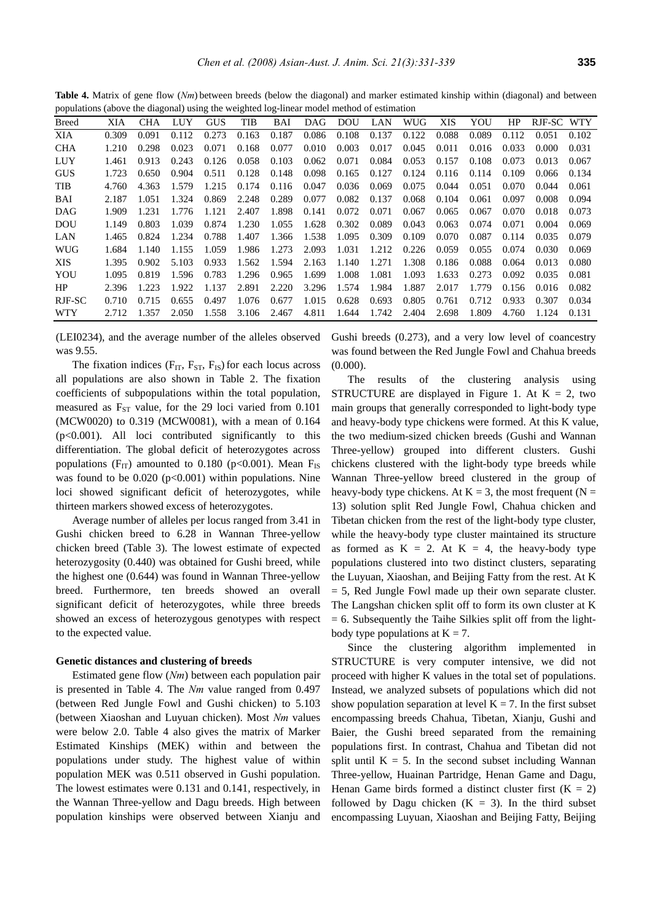**Table 4.** Matrix of gene flow (*Nm*) between breeds (below the diagonal) and marker estimated kinship within (diagonal) and between populations (above the diagonal) using the weighted log-linear model method of estimation

| $(100 - 100)$<br>$\cdots$<br>$\cdots$ $\cdots$<br>11110011 111001 111001100 11000 |       |       |       |            |       |       |       |       |       |       |       |       |       |            |       |
|-----------------------------------------------------------------------------------|-------|-------|-------|------------|-------|-------|-------|-------|-------|-------|-------|-------|-------|------------|-------|
| <b>Breed</b>                                                                      | XIA   | CHA   | LUY   | <b>GUS</b> | TIB   | BAI   | DAG   | DOU   | LAN   | WUG   | XIS   | YOU   | HP    | RJF-SC WTY |       |
| XIA                                                                               | 0.309 | 0.091 | 0.112 | 0.273      | 0.163 | 0.187 | 0.086 | 0.108 | 0.137 | 0.122 | 0.088 | 0.089 | 0.112 | 0.051      | 0.102 |
| <b>CHA</b>                                                                        | 1.210 | 0.298 | 0.023 | 0.071      | 0.168 | 0.077 | 0.010 | 0.003 | 0.017 | 0.045 | 0.011 | 0.016 | 0.033 | 0.000      | 0.031 |
| <b>LUY</b>                                                                        | 1.461 | 0.913 | 0.243 | 0.126      | 0.058 | 0.103 | 0.062 | 0.071 | 0.084 | 0.053 | 0.157 | 0.108 | 0.073 | 0.013      | 0.067 |
| <b>GUS</b>                                                                        | 1.723 | 0.650 | 0.904 | 0.511      | 0.128 | 0.148 | 0.098 | 0.165 | 0.127 | 0.124 | 0.116 | 0.114 | 0.109 | 0.066      | 0.134 |
| TIB                                                                               | 4.760 | 4.363 | 1.579 | 1.215      | 0.174 | 0.116 | 0.047 | 0.036 | 0.069 | 0.075 | 0.044 | 0.051 | 0.070 | 0.044      | 0.061 |
| BAI                                                                               | 2.187 | 1.051 | 1.324 | 0.869      | 2.248 | 0.289 | 0.077 | 0.082 | 0.137 | 0.068 | 0.104 | 0.061 | 0.097 | 0.008      | 0.094 |
| DAG                                                                               | 1.909 | 1.231 | 1.776 | 1.121      | 2.407 | 1.898 | 0.141 | 0.072 | 0.071 | 0.067 | 0.065 | 0.067 | 0.070 | 0.018      | 0.073 |
| <b>DOU</b>                                                                        | 1.149 | 0.803 | 1.039 | 0.874      | 1.230 | 1.055 | 1.628 | 0.302 | 0.089 | 0.043 | 0.063 | 0.074 | 0.071 | 0.004      | 0.069 |
| LAN                                                                               | 1.465 | 0.824 | 1.234 | 0.788      | 1.407 | 1.366 | 1.538 | 1.095 | 0.309 | 0.109 | 0.070 | 0.087 | 0.114 | 0.035      | 0.079 |
| <b>WUG</b>                                                                        | 1.684 | 1.140 | 1.155 | 1.059      | 1.986 | 1.273 | 2.093 | 1.031 | 1.212 | 0.226 | 0.059 | 0.055 | 0.074 | 0.030      | 0.069 |
| XIS                                                                               | 1.395 | 0.902 | 5.103 | 0.933      | 1.562 | 1.594 | 2.163 | 1.140 | 1.271 | 1.308 | 0.186 | 0.088 | 0.064 | 0.013      | 0.080 |
| YOU                                                                               | 1.095 | 0.819 | 1.596 | 0.783      | 1.296 | 0.965 | 1.699 | 1.008 | 1.081 | 1.093 | 1.633 | 0.273 | 0.092 | 0.035      | 0.081 |
| HP                                                                                | 2.396 | 1.223 | 1.922 | 1.137      | 2.891 | 2.220 | 3.296 | 1.574 | 1.984 | 1.887 | 2.017 | 1.779 | 0.156 | 0.016      | 0.082 |
| RJF-SC                                                                            | 0.710 | 0.715 | 0.655 | 0.497      | 1.076 | 0.677 | 1.015 | 0.628 | 0.693 | 0.805 | 0.761 | 0.712 | 0.933 | 0.307      | 0.034 |
| <b>WTY</b>                                                                        | 2.712 | 1.357 | 2.050 | 1.558      | 3.106 | 2.467 | 4.811 | 1.644 | 1.742 | 2.404 | 2.698 | 1.809 | 4.760 | 1.124      | 0.131 |

(LEI0234), and the average number of the alleles observed was 9.55.

The fixation indices  $(F_{IT}, F_{ST}, F_{IS})$  for each locus across all populations are also shown in Table 2. The fixation coefficients of subpopulations within the total population, measured as  $F_{ST}$  value, for the 29 loci varied from 0.101 (MCW0020) to 0.319 (MCW0081), with a mean of 0.164  $(p<0.001)$ . All loci contributed significantly to this differentiation. The global deficit of heterozygotes across populations ( $F_{IT}$ ) amounted to 0.180 (p<0.001). Mean  $F_{IS}$ was found to be  $0.020$  ( $p<0.001$ ) within populations. Nine loci showed significant deficit of heterozygotes, while thirteen markers showed excess of heterozygotes.

Average number of alleles per locus ranged from 3.41 in Gushi chicken breed to 6.28 in Wannan Three-yellow chicken breed (Table 3). The lowest estimate of expected heterozygosity (0.440) was obtained for Gushi breed, while the highest one (0.644) was found in Wannan Three-yellow breed. Furthermore, ten breeds showed an overall significant deficit of heterozygotes, while three breeds showed an excess of heterozygous genotypes with respect to the expected value.

#### **Genetic distances and clustering of breeds**

Estimated gene flow (*Nm*) between each population pair is presented in Table 4. The *Nm* value ranged from 0.497 (between Red Jungle Fowl and Gushi chicken) to 5.103 (between Xiaoshan and Luyuan chicken). Most *Nm* values were below 2.0. Table 4 also gives the matrix of Marker Estimated Kinships (MEK) within and between the populations under study. The highest value of within population MEK was 0.511 observed in Gushi population. The lowest estimates were 0.131 and 0.141, respectively, in the Wannan Three-yellow and Dagu breeds. High between population kinships were observed between Xianju and Gushi breeds (0.273), and a very low level of coancestry was found between the Red Jungle Fowl and Chahua breeds (0.000).

The results of the clustering analysis using STRUCTURE are displayed in Figure 1. At  $K = 2$ , two main groups that generally corresponded to light-body type and heavy-body type chickens were formed. At this K value, the two medium-sized chicken breeds (Gushi and Wannan Three-yellow) grouped into different clusters. Gushi chickens clustered with the light-body type breeds while Wannan Three-yellow breed clustered in the group of heavy-body type chickens. At  $K = 3$ , the most frequent (N = 13) solution split Red Jungle Fowl, Chahua chicken and Tibetan chicken from the rest of the light-body type cluster, while the heavy-body type cluster maintained its structure as formed as  $K = 2$ . At  $K = 4$ , the heavy-body type populations clustered into two distinct clusters, separating the Luyuan, Xiaoshan, and Beijing Fatty from the rest. At K  $= 5$ , Red Jungle Fowl made up their own separate cluster. The Langshan chicken split off to form its own cluster at K  $= 6$ . Subsequently the Taihe Silkies split off from the lightbody type populations at  $K = 7$ .

Since the clustering algorithm implemented in STRUCTURE is very computer intensive, we did not proceed with higher K values in the total set of populations. Instead, we analyzed subsets of populations which did not show population separation at level  $K = 7$ . In the first subset encompassing breeds Chahua, Tibetan, Xianju, Gushi and Baier, the Gushi breed separated from the remaining populations first. In contrast, Chahua and Tibetan did not split until  $K = 5$ . In the second subset including Wannan Three-yellow, Huainan Partridge, Henan Game and Dagu, Henan Game birds formed a distinct cluster first  $(K = 2)$ followed by Dagu chicken  $(K = 3)$ . In the third subset encompassing Luyuan, Xiaoshan and Beijing Fatty, Beijing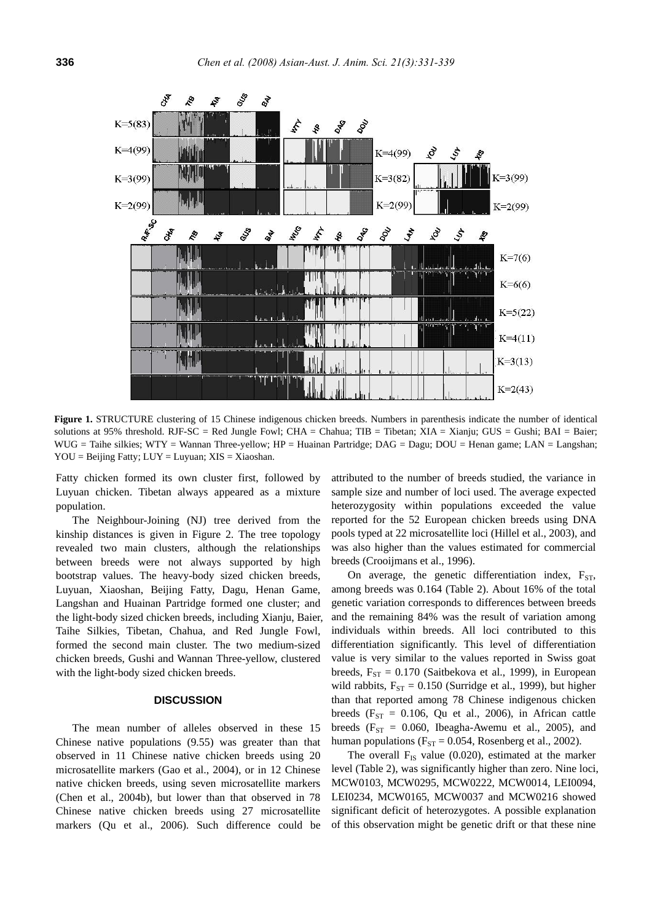

Figure 1. STRUCTURE clustering of 15 Chinese indigenous chicken breeds. Numbers in parenthesis indicate the number of identical solutions at 95% threshold. RJF-SC = Red Jungle Fowl; CHA = Chahua; TIB = Tibetan; XIA = Xianju; GUS = Gushi; BAI = Baier; WUG = Taihe silkies; WTY = Wannan Three-yellow; HP = Huainan Partridge; DAG = Dagu; DOU = Henan game; LAN = Langshan;  $YOU = Beijing Fatty$ ;  $LUY = Luyuan$ ;  $XIS = Xiaoshan$ .

Fatty chicken formed its own cluster first, followed by Luyuan chicken. Tibetan always appeared as a mixture population.

The Neighbour-Joining (NJ) tree derived from the kinship distances is given in Figure 2. The tree topology revealed two main clusters, although the relationships between breeds were not always supported by high bootstrap values. The heavy-body sized chicken breeds, Luyuan, Xiaoshan, Beijing Fatty, Dagu, Henan Game, Langshan and Huainan Partridge formed one cluster; and the light-body sized chicken breeds, including Xianju, Baier, Taihe Silkies, Tibetan, Chahua, and Red Jungle Fowl, formed the second main cluster. The two medium-sized chicken breeds, Gushi and Wannan Three-yellow, clustered with the light-body sized chicken breeds.

#### **DISCUSSION**

The mean number of alleles observed in these 15 Chinese native populations (9.55) was greater than that observed in 11 Chinese native chicken breeds using 20 microsatellite markers (Gao et al., 2004), or in 12 Chinese native chicken breeds, using seven microsatellite markers (Chen et al., 2004b), but lower than that observed in 78 Chinese native chicken breeds using 27 microsatellite markers (Qu et al., 2006). Such difference could be attributed to the number of breeds studied, the variance in sample size and number of loci used. The average expected heterozygosity within populations exceeded the value reported for the 52 European chicken breeds using DNA pools typed at 22 microsatellite loci (Hillel et al., 2003), and was also higher than the values estimated for commercial breeds (Crooijmans et al., 1996).

On average, the genetic differentiation index,  $F_{ST}$ , among breeds was 0.164 (Table 2). About 16% of the total genetic variation corresponds to differences between breeds and the remaining 84% was the result of variation among individuals within breeds. All loci contributed to this differentiation significantly. This level of differentiation value is very similar to the values reported in Swiss goat breeds,  $F_{ST} = 0.170$  (Saitbekova et al., 1999), in European wild rabbits,  $F_{ST} = 0.150$  (Surridge et al., 1999), but higher than that reported among 78 Chinese indigenous chicken breeds ( $F_{ST} = 0.106$ , Qu et al., 2006), in African cattle breeds ( $F_{ST} = 0.060$ , Ibeagha-Awemu et al., 2005), and human populations ( $F_{ST} = 0.054$ , Rosenberg et al., 2002).

The overall  $F_{IS}$  value (0.020), estimated at the marker level (Table 2), was significantly higher than zero. Nine loci, MCW0103, MCW0295, MCW0222, MCW0014, LEI0094, LEI0234, MCW0165, MCW0037 and MCW0216 showed significant deficit of heterozygotes. A possible explanation of this observation might be genetic drift or that these nine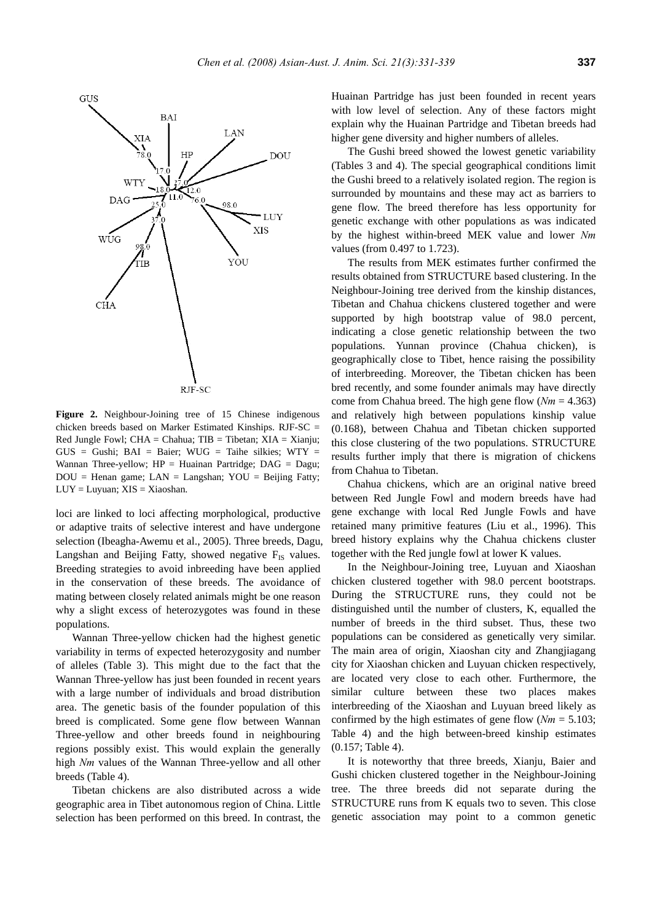

**Figure 2.** Neighbour-Joining tree of 15 Chinese indigenous

chicken breeds based on Marker Estimated Kinships. RJF-SC = Red Jungle Fowl; CHA = Chahua;  $TIB = Tibetan$ ;  $XIA = Xianiu$ ;  $GUS =$  Gushi;  $BAI =$  Baier;  $WUG =$  Taihe silkies;  $WTY =$ Wannan Three-yellow;  $HP = Huainan$  Partridge;  $DAG = Dagu$ ;  $DOU =$  Henan game;  $LAN =$  Langshan;  $YOU =$  Beijing Fatty;  $LUY = Luyuan$ ;  $XIS = Xiaoshan$ .

loci are linked to loci affecting morphological, productive or adaptive traits of selective interest and have undergone selection (Ibeagha-Awemu et al., 2005). Three breeds, Dagu, Langshan and Beijing Fatty, showed negative  $F_{IS}$  values. Breeding strategies to avoid inbreeding have been applied in the conservation of these breeds. The avoidance of mating between closely related animals might be one reason why a slight excess of heterozygotes was found in these populations.

Wannan Three-yellow chicken had the highest genetic variability in terms of expected heterozygosity and number of alleles (Table 3). This might due to the fact that the Wannan Three-yellow has just been founded in recent years with a large number of individuals and broad distribution area. The genetic basis of the founder population of this breed is complicated. Some gene flow between Wannan Three-yellow and other breeds found in neighbouring regions possibly exist. This would explain the generally high *Nm* values of the Wannan Three-yellow and all other breeds (Table 4).

Tibetan chickens are also distributed across a wide geographic area in Tibet autonomous region of China. Little selection has been performed on this breed. In contrast, the Huainan Partridge has just been founded in recent years with low level of selection. Any of these factors might explain why the Huainan Partridge and Tibetan breeds had higher gene diversity and higher numbers of alleles.

The Gushi breed showed the lowest genetic variability (Tables 3 and 4). The special geographical conditions limit the Gushi breed to a relatively isolated region. The region is surrounded by mountains and these may act as barriers to gene flow. The breed therefore has less opportunity for genetic exchange with other populations as was indicated by the highest within-breed MEK value and lower *Nm* values (from 0.497 to 1.723).

The results from MEK estimates further confirmed the results obtained from STRUCTURE based clustering. In the Neighbour-Joining tree derived from the kinship distances, Tibetan and Chahua chickens clustered together and were supported by high bootstrap value of 98.0 percent, indicating a close genetic relationship between the two populations. Yunnan province (Chahua chicken), is geographically close to Tibet, hence raising the possibility of interbreeding. Moreover, the Tibetan chicken has been bred recently, and some founder animals may have directly come from Chahua breed. The high gene flow (*Nm* = 4.363) and relatively high between populations kinship value (0.168), between Chahua and Tibetan chicken supported this close clustering of the two populations. STRUCTURE results further imply that there is migration of chickens from Chahua to Tibetan.

Chahua chickens, which are an original native breed between Red Jungle Fowl and modern breeds have had gene exchange with local Red Jungle Fowls and have retained many primitive features (Liu et al., 1996). This breed history explains why the Chahua chickens cluster together with the Red jungle fowl at lower K values.

In the Neighbour-Joining tree, Luyuan and Xiaoshan chicken clustered together with 98.0 percent bootstraps. During the STRUCTURE runs, they could not be distinguished until the number of clusters, K, equalled the number of breeds in the third subset. Thus, these two populations can be considered as genetically very similar. The main area of origin, Xiaoshan city and Zhangjiagang city for Xiaoshan chicken and Luyuan chicken respectively, are located very close to each other. Furthermore, the similar culture between these two places makes interbreeding of the Xiaoshan and Luyuan breed likely as confirmed by the high estimates of gene flow (*Nm* = 5.103; Table 4) and the high between-breed kinship estimates (0.157; Table 4).

It is noteworthy that three breeds, Xianju, Baier and Gushi chicken clustered together in the Neighbour-Joining tree. The three breeds did not separate during the STRUCTURE runs from K equals two to seven. This close genetic association may point to a common genetic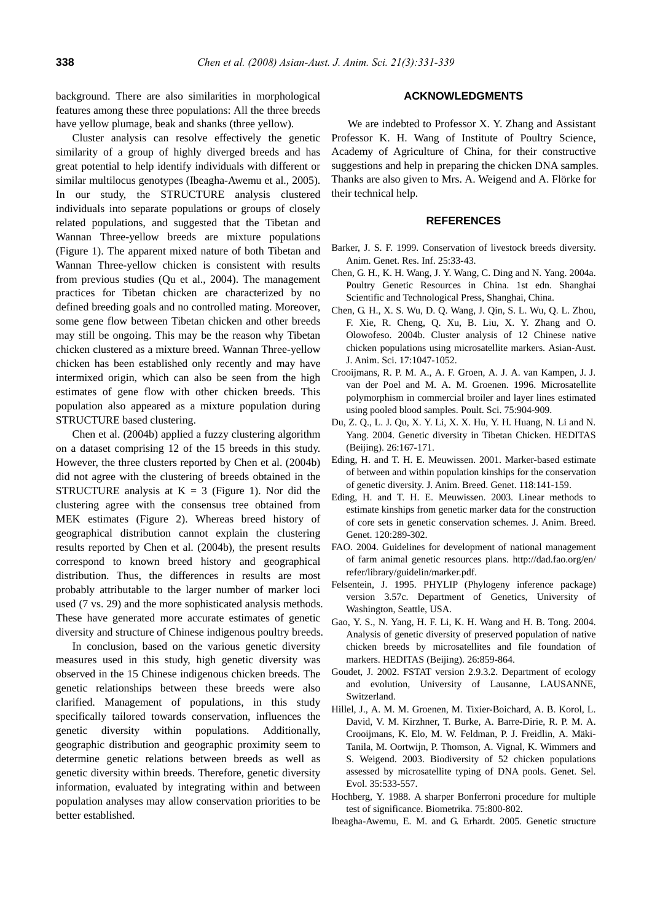background. There are also similarities in morphological features among these three populations: All the three breeds have yellow plumage, beak and shanks (three yellow).

Cluster analysis can resolve effectively the genetic similarity of a group of highly diverged breeds and has great potential to help identify individuals with different or similar multilocus genotypes (Ibeagha-Awemu et al., 2005). In our study, the STRUCTURE analysis clustered individuals into separate populations or groups of closely related populations, and suggested that the Tibetan and Wannan Three-yellow breeds are mixture populations (Figure 1). The apparent mixed nature of both Tibetan and Wannan Three-yellow chicken is consistent with results from previous studies (Qu et al., 2004). The management practices for Tibetan chicken are characterized by no defined breeding goals and no controlled mating. Moreover, some gene flow between Tibetan chicken and other breeds may still be ongoing. This may be the reason why Tibetan chicken clustered as a mixture breed. Wannan Three-yellow chicken has been established only recently and may have intermixed origin, which can also be seen from the high estimates of gene flow with other chicken breeds. This population also appeared as a mixture population during STRUCTURE based clustering.

Chen et al. (2004b) applied a fuzzy clustering algorithm on a dataset comprising 12 of the 15 breeds in this study. However, the three clusters reported by Chen et al. (2004b) did not agree with the clustering of breeds obtained in the STRUCTURE analysis at  $K = 3$  (Figure 1). Nor did the clustering agree with the consensus tree obtained from MEK estimates (Figure 2). Whereas breed history of geographical distribution cannot explain the clustering results reported by Chen et al. (2004b), the present results correspond to known breed history and geographical distribution. Thus, the differences in results are most probably attributable to the larger number of marker loci used (7 vs. 29) and the more sophisticated analysis methods. These have generated more accurate estimates of genetic diversity and structure of Chinese indigenous poultry breeds.

In conclusion, based on the various genetic diversity measures used in this study, high genetic diversity was observed in the 15 Chinese indigenous chicken breeds. The genetic relationships between these breeds were also clarified. Management of populations, in this study specifically tailored towards conservation, influences the genetic diversity within populations. Additionally, geographic distribution and geographic proximity seem to determine genetic relations between breeds as well as genetic diversity within breeds. Therefore, genetic diversity information, evaluated by integrating within and between population analyses may allow conservation priorities to be better established.

## **ACKNOWLEDGMENTS**

We are indebted to Professor X. Y. Zhang and Assistant Professor K. H. Wang of Institute of Poultry Science, Academy of Agriculture of China, for their constructive suggestions and help in preparing the chicken DNA samples. Thanks are also given to Mrs. A. Weigend and A. Flörke for their technical help.

## **REFERENCES**

- Barker, J. S. F. 1999. Conservation of livestock breeds diversity. Anim. Genet. Res. Inf. 25:33-43.
- Chen, G. H., K. H. Wang, J. Y. Wang, C. Ding and N. Yang. 2004a. Poultry Genetic Resources in China. 1st edn. Shanghai Scientific and Technological Press, Shanghai, China.
- Chen, G. H., X. S. Wu, D. Q. Wang, J. Qin, S. L. Wu, Q. L. Zhou, F. Xie, R. Cheng, Q. Xu, B. Liu, X. Y. Zhang and O. Olowofeso. 2004b. Cluster analysis of 12 Chinese native chicken populations using microsatellite markers. Asian-Aust. J. Anim. Sci. 17:1047-1052.
- Crooijmans, R. P. M. A., A. F. Groen, A. J. A. van Kampen, J. J. van der Poel and M. A. M. Groenen. 1996. Microsatellite polymorphism in commercial broiler and layer lines estimated using pooled blood samples. Poult. Sci. 75:904-909.
- Du, Z. Q., L. J. Qu, X. Y. Li, X. X. Hu, Y. H. Huang, N. Li and N. Yang. 2004. Genetic diversity in Tibetan Chicken. HEDITAS (Beijing). 26:167-171.
- Eding, H. and T. H. E. Meuwissen. 2001. Marker-based estimate of between and within population kinships for the conservation of genetic diversity. J. Anim. Breed. Genet. 118:141-159.
- Eding, H. and T. H. E. Meuwissen. 2003. Linear methods to estimate kinships from genetic marker data for the construction of core sets in genetic conservation schemes. J. Anim. Breed. Genet. 120:289-302.
- FAO. 2004. Guidelines for development of national management of farm animal genetic resources plans. http://dad.fao.org/en/ refer/library/guidelin/marker.pdf.
- Felsentein, J. 1995. PHYLIP (Phylogeny inference package) version 3.57c. Department of Genetics, University of Washington, Seattle, USA.
- Gao, Y. S., N. Yang, H. F. Li, K. H. Wang and H. B. Tong. 2004. Analysis of genetic diversity of preserved population of native chicken breeds by microsatellites and file foundation of markers. HEDITAS (Beijing). 26:859-864.
- Goudet, J. 2002. FSTAT version 2.9.3.2. Department of ecology and evolution, University of Lausanne, LAUSANNE, Switzerland.
- Hillel, J., A. M. M. Groenen, M. Tixier-Boichard, A. B. Korol, L. David, V. M. Kirzhner, T. Burke, A. Barre-Dirie, R. P. M. A. Crooijmans, K. Elo, M. W. Feldman, P. J. Freidlin, A. Mäki-Tanila, M. Oortwijn, P. Thomson, A. Vignal, K. Wimmers and S. Weigend. 2003. Biodiversity of 52 chicken populations assessed by microsatellite typing of DNA pools. Genet. Sel. Evol. 35:533-557.
- Hochberg, Y. 1988. A sharper Bonferroni procedure for multiple test of significance. Biometrika. 75:800-802.
- Ibeagha-Awemu, E. M. and G. Erhardt. 2005. Genetic structure